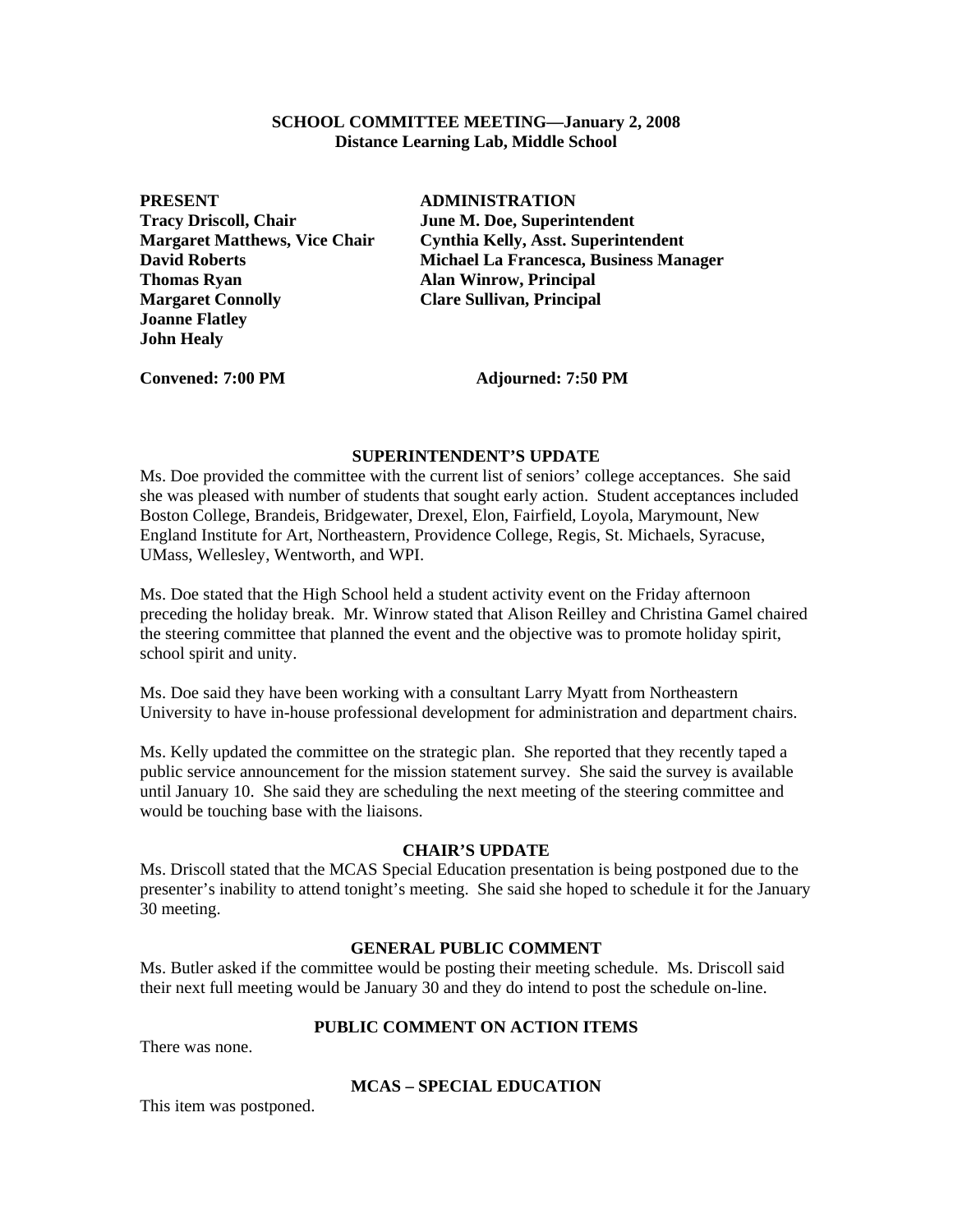### **SCHOOL COMMITTEE MEETING—January 2, 2008 Distance Learning Lab, Middle School**

**PRESENT ADMINISTRATION Tracy Driscoll, Chair June M. Doe, Superintendent Thomas Ryan Alan Winrow, Principal** *Alan* **Winrow, Principal Margaret Connolly Clare Sullivan, Principal Joanne Flatley John Healy** 

**Margaret Matthews, Vice Chair Cynthia Kelly, Asst. Superintendent David Roberts Michael La Francesca, Business Manager** 

Convened: 7:00 PM **Adjourned: 7:50 PM** 

#### **SUPERINTENDENT'S UPDATE**

Ms. Doe provided the committee with the current list of seniors' college acceptances. She said she was pleased with number of students that sought early action. Student acceptances included Boston College, Brandeis, Bridgewater, Drexel, Elon, Fairfield, Loyola, Marymount, New England Institute for Art, Northeastern, Providence College, Regis, St. Michaels, Syracuse, UMass, Wellesley, Wentworth, and WPI.

Ms. Doe stated that the High School held a student activity event on the Friday afternoon preceding the holiday break. Mr. Winrow stated that Alison Reilley and Christina Gamel chaired the steering committee that planned the event and the objective was to promote holiday spirit, school spirit and unity.

Ms. Doe said they have been working with a consultant Larry Myatt from Northeastern University to have in-house professional development for administration and department chairs.

Ms. Kelly updated the committee on the strategic plan. She reported that they recently taped a public service announcement for the mission statement survey. She said the survey is available until January 10. She said they are scheduling the next meeting of the steering committee and would be touching base with the liaisons.

#### **CHAIR'S UPDATE**

Ms. Driscoll stated that the MCAS Special Education presentation is being postponed due to the presenter's inability to attend tonight's meeting. She said she hoped to schedule it for the January 30 meeting.

## **GENERAL PUBLIC COMMENT**

Ms. Butler asked if the committee would be posting their meeting schedule. Ms. Driscoll said their next full meeting would be January 30 and they do intend to post the schedule on-line.

# **PUBLIC COMMENT ON ACTION ITEMS**

There was none.

### **MCAS – SPECIAL EDUCATION**

This item was postponed.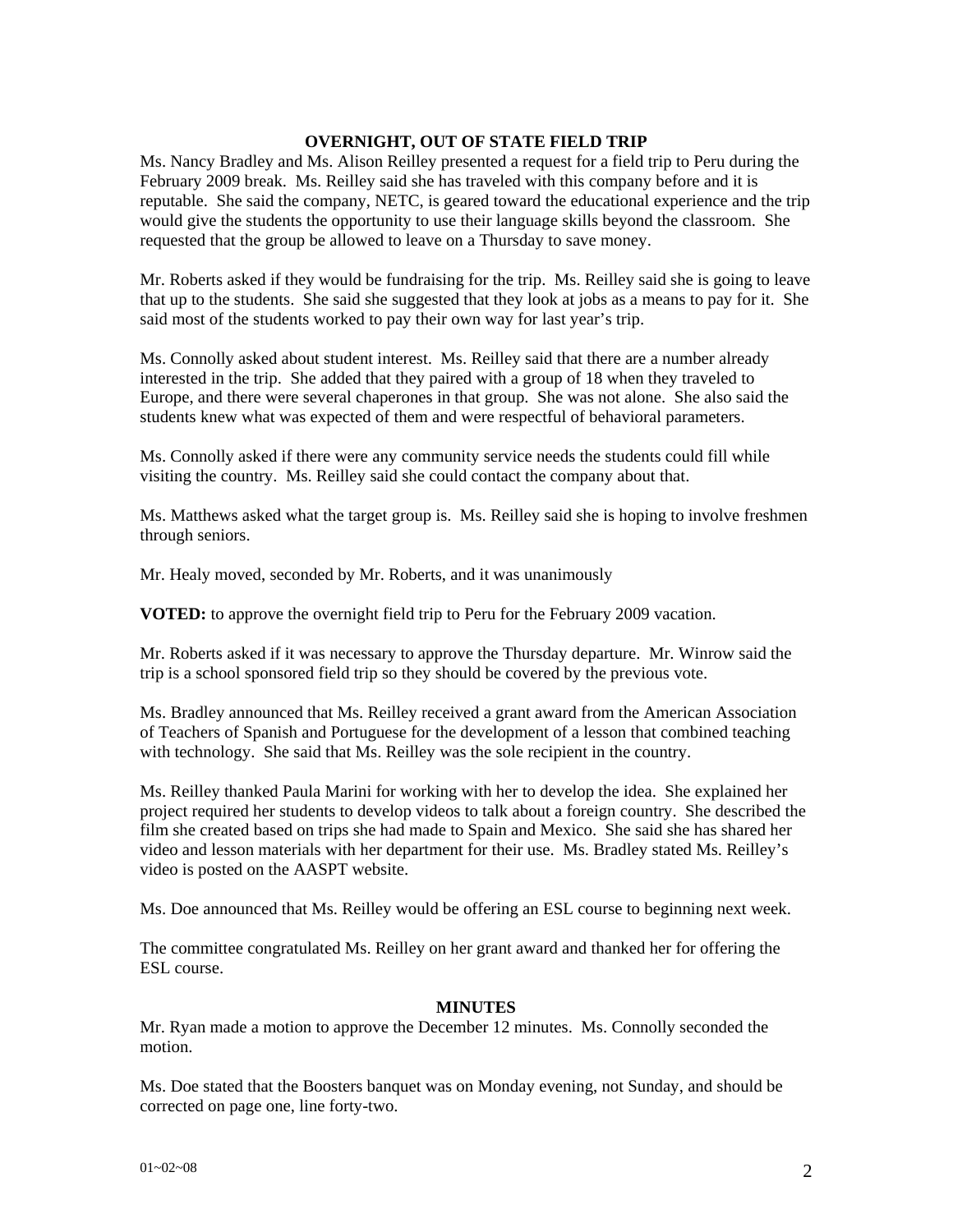# **OVERNIGHT, OUT OF STATE FIELD TRIP**

Ms. Nancy Bradley and Ms. Alison Reilley presented a request for a field trip to Peru during the February 2009 break. Ms. Reilley said she has traveled with this company before and it is reputable. She said the company, NETC, is geared toward the educational experience and the trip would give the students the opportunity to use their language skills beyond the classroom. She requested that the group be allowed to leave on a Thursday to save money.

Mr. Roberts asked if they would be fundraising for the trip. Ms. Reilley said she is going to leave that up to the students. She said she suggested that they look at jobs as a means to pay for it. She said most of the students worked to pay their own way for last year's trip.

Ms. Connolly asked about student interest. Ms. Reilley said that there are a number already interested in the trip. She added that they paired with a group of 18 when they traveled to Europe, and there were several chaperones in that group. She was not alone. She also said the students knew what was expected of them and were respectful of behavioral parameters.

Ms. Connolly asked if there were any community service needs the students could fill while visiting the country. Ms. Reilley said she could contact the company about that.

Ms. Matthews asked what the target group is. Ms. Reilley said she is hoping to involve freshmen through seniors.

Mr. Healy moved, seconded by Mr. Roberts, and it was unanimously

**VOTED:** to approve the overnight field trip to Peru for the February 2009 vacation.

Mr. Roberts asked if it was necessary to approve the Thursday departure. Mr. Winrow said the trip is a school sponsored field trip so they should be covered by the previous vote.

Ms. Bradley announced that Ms. Reilley received a grant award from the American Association of Teachers of Spanish and Portuguese for the development of a lesson that combined teaching with technology. She said that Ms. Reilley was the sole recipient in the country.

Ms. Reilley thanked Paula Marini for working with her to develop the idea. She explained her project required her students to develop videos to talk about a foreign country. She described the film she created based on trips she had made to Spain and Mexico. She said she has shared her video and lesson materials with her department for their use. Ms. Bradley stated Ms. Reilley's video is posted on the AASPT website.

Ms. Doe announced that Ms. Reilley would be offering an ESL course to beginning next week.

The committee congratulated Ms. Reilley on her grant award and thanked her for offering the ESL course.

### **MINUTES**

Mr. Ryan made a motion to approve the December 12 minutes. Ms. Connolly seconded the motion.

Ms. Doe stated that the Boosters banquet was on Monday evening, not Sunday, and should be corrected on page one, line forty-two.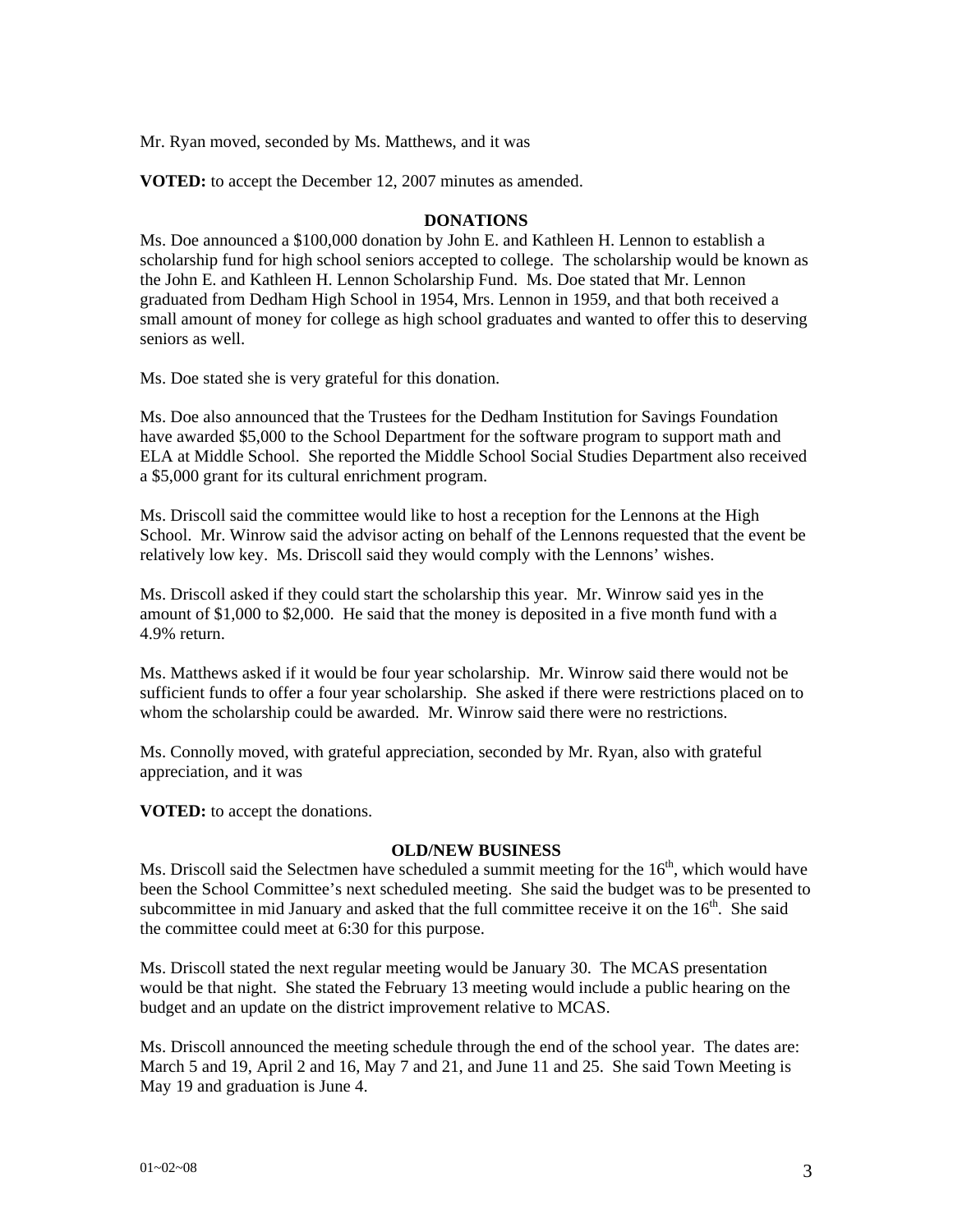Mr. Ryan moved, seconded by Ms. Matthews, and it was

**VOTED:** to accept the December 12, 2007 minutes as amended.

## **DONATIONS**

Ms. Doe announced a \$100,000 donation by John E. and Kathleen H. Lennon to establish a scholarship fund for high school seniors accepted to college. The scholarship would be known as the John E. and Kathleen H. Lennon Scholarship Fund. Ms. Doe stated that Mr. Lennon graduated from Dedham High School in 1954, Mrs. Lennon in 1959, and that both received a small amount of money for college as high school graduates and wanted to offer this to deserving seniors as well.

Ms. Doe stated she is very grateful for this donation.

Ms. Doe also announced that the Trustees for the Dedham Institution for Savings Foundation have awarded \$5,000 to the School Department for the software program to support math and ELA at Middle School. She reported the Middle School Social Studies Department also received a \$5,000 grant for its cultural enrichment program.

Ms. Driscoll said the committee would like to host a reception for the Lennons at the High School. Mr. Winrow said the advisor acting on behalf of the Lennons requested that the event be relatively low key. Ms. Driscoll said they would comply with the Lennons' wishes.

Ms. Driscoll asked if they could start the scholarship this year. Mr. Winrow said yes in the amount of \$1,000 to \$2,000. He said that the money is deposited in a five month fund with a 4.9% return.

Ms. Matthews asked if it would be four year scholarship. Mr. Winrow said there would not be sufficient funds to offer a four year scholarship. She asked if there were restrictions placed on to whom the scholarship could be awarded. Mr. Winrow said there were no restrictions.

Ms. Connolly moved, with grateful appreciation, seconded by Mr. Ryan, also with grateful appreciation, and it was

**VOTED:** to accept the donations.

### **OLD/NEW BUSINESS**

Ms. Driscoll said the Selectmen have scheduled a summit meeting for the  $16<sup>th</sup>$ , which would have been the School Committee's next scheduled meeting. She said the budget was to be presented to subcommittee in mid January and asked that the full committee receive it on the  $16<sup>th</sup>$ . She said the committee could meet at 6:30 for this purpose.

Ms. Driscoll stated the next regular meeting would be January 30. The MCAS presentation would be that night. She stated the February 13 meeting would include a public hearing on the budget and an update on the district improvement relative to MCAS.

Ms. Driscoll announced the meeting schedule through the end of the school year. The dates are: March 5 and 19, April 2 and 16, May 7 and 21, and June 11 and 25. She said Town Meeting is May 19 and graduation is June 4.